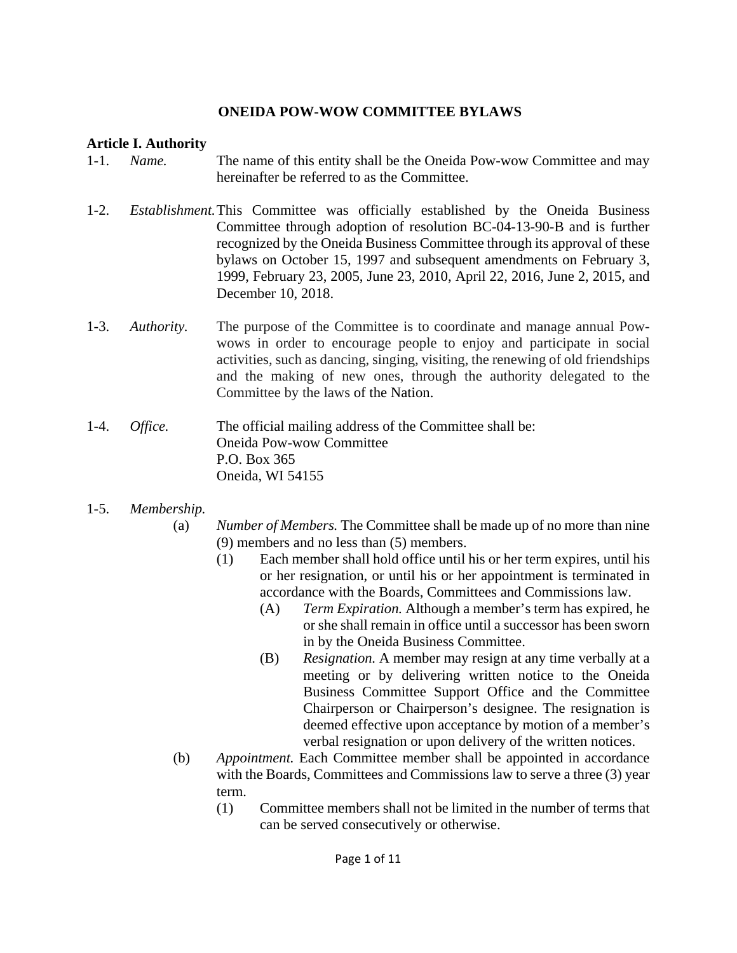### **ONEIDA POW-WOW COMMITTEE BYLAWS**

#### **Article I. Authority**

- 1-1. *Name.* The name of this entity shall be the Oneida Pow-wow Committee and may hereinafter be referred to as the Committee.
- 1-2. *Establishment.* This Committee was officially established by the Oneida Business Committee through adoption of resolution BC-04-13-90-B and is further recognized by the Oneida Business Committee through its approval of these bylaws on October 15, 1997 and subsequent amendments on February 3, 1999, February 23, 2005, June 23, 2010, April 22, 2016, June 2, 2015, and December 10, 2018.
- 1-3. *Authority.* The purpose of the Committee is to coordinate and manage annual Pow wows in order to encourage people to enjoy and participate in social activities, such as dancing, singing, visiting, the renewing of old friendships and the making of new ones, through the authority delegated to the Committee by the laws of the Nation.
- 1-4. *Office.* The official mailing address of the Committee shall be: Oneida Pow-wow Committee P.O. Box 365 Oneida, WI 54155
- 1-5. *Membership.*
	- (a) *Number of Members.* The Committee shall be made up of no more than nine (9) members and no less than (5) members.
		- (1) Each member shall hold office until his or her term expires, until his or her resignation, or until his or her appointment is terminated in accordance with the Boards, Committees and Commissions law.
			- (A) *Term Expiration.* Although a member's term has expired, he or she shall remain in office until a successor has been sworn in by the Oneida Business Committee.
			- (B) *Resignation.* A member may resign at any time verbally at a meeting or by delivering written notice to the Oneida Business Committee Support Office and the Committee Chairperson or Chairperson's designee. The resignation is deemed effective upon acceptance by motion of a member's verbal resignation or upon delivery of the written notices.
	- (b) *Appointment.* Each Committee member shall be appointed in accordance with the Boards, Committees and Commissions law to serve a three (3) year term.
		- (1) Committee members shall not be limited in the number of terms that can be served consecutively or otherwise.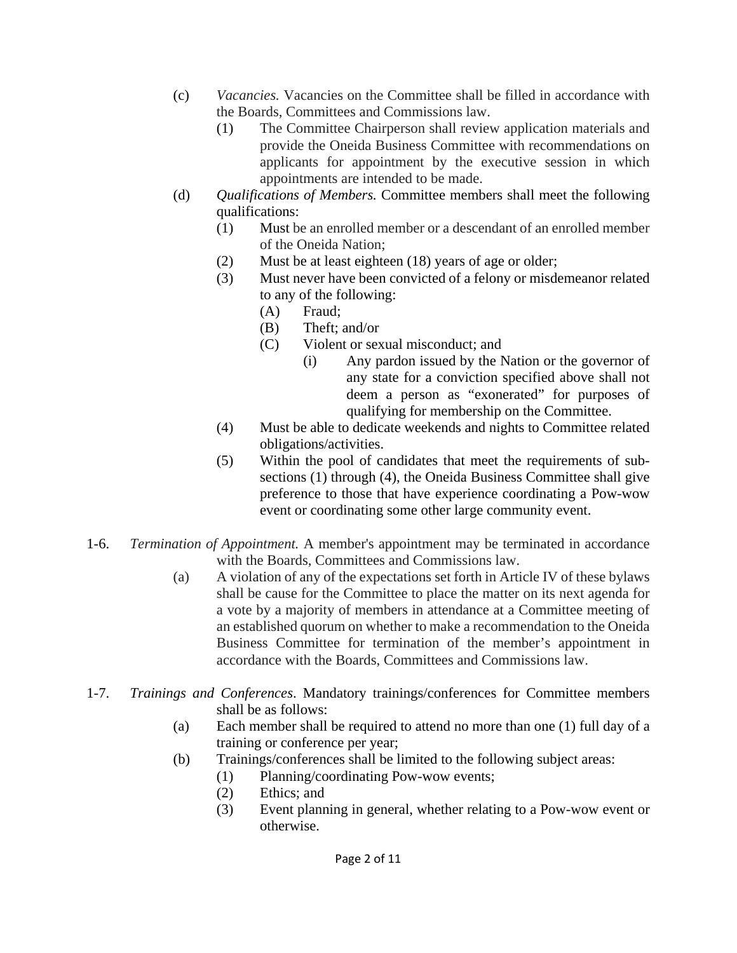- (c) *Vacancies.* Vacancies on the Committee shall be filled in accordance with the Boards, Committees and Commissions law.
	- (1) The Committee Chairperson shall review application materials and provide the Oneida Business Committee with recommendations on applicants for appointment by the executive session in which appointments are intended to be made.
- (d) *Qualifications of Members.* Committee members shall meet the following qualifications:
	- (1) Must be an enrolled member or a descendant of an enrolled member of the Oneida Nation;
	- (2) Must be at least eighteen (18) years of age or older;
	- (3) Must never have been convicted of a felony or misdemeanor related to any of the following:
		- (A) Fraud;
		- (B) Theft; and/or
		- (C) Violent or sexual misconduct; and
			- (i) Any pardon issued by the Nation or the governor of any state for a conviction specified above shall not deem a person as "exonerated" for purposes of qualifying for membership on the Committee.
	- (4) Must be able to dedicate weekends and nights to Committee related obligations/activities.
	- (5) Within the pool of candidates that meet the requirements of sub sections (1) through (4), the Oneida Business Committee shall give preference to those that have experience coordinating a Pow-wow event or coordinating some other large community event.
- 1-6. *Termination of Appointment.* A member's appointment may be terminated in accordance with the Boards, Committees and Commissions law.
	- (a) A violation of any of the expectations set forth in Article IV of these bylaws shall be cause for the Committee to place the matter on its next agenda for a vote by a majority of members in attendance at a Committee meeting of an established quorum on whether to make a recommendation to the Oneida Business Committee for termination of the member's appointment in accordance with the Boards, Committees and Commissions law.
- 1-7. *Trainings and Conferences*. Mandatory trainings/conferences for Committee members shall be as follows:
	- (a) Each member shall be required to attend no more than one (1) full day of a training or conference per year;
	- (b) Trainings/conferences shall be limited to the following subject areas:
		- (1) Planning/coordinating Pow-wow events;
		- (2) Ethics; and
		- (3) Event planning in general, whether relating to a Pow-wow event or otherwise.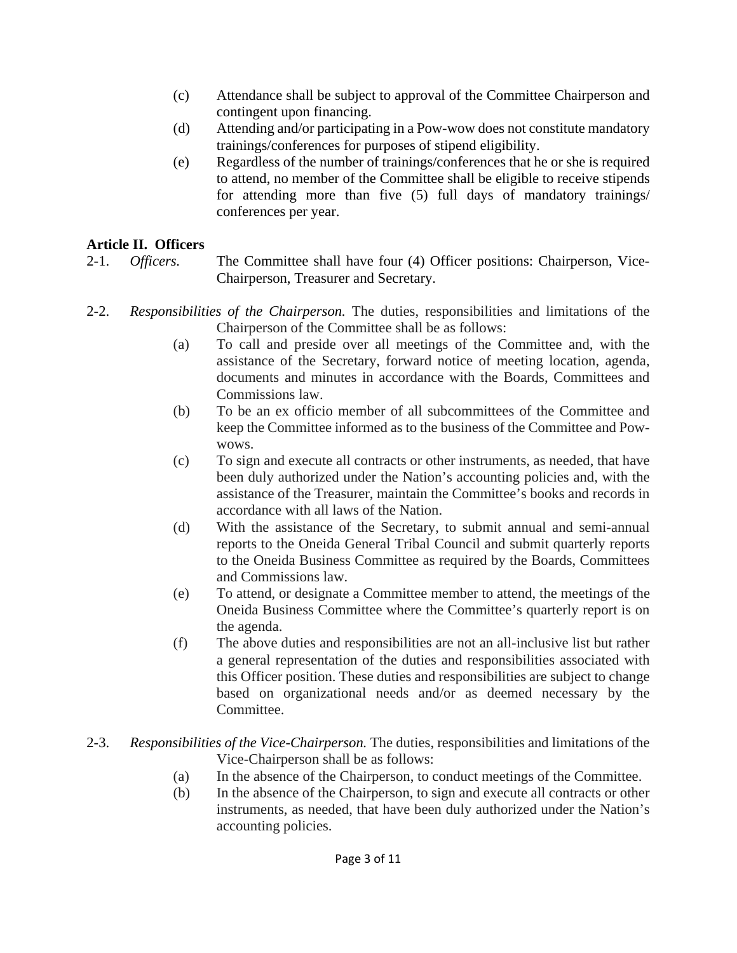- (c) Attendance shall be subject to approval of the Committee Chairperson and contingent upon financing.
- (d) Attending and/or participating in a Pow-wow does not constitute mandatory trainings/conferences for purposes of stipend eligibility.
- (e) Regardless of the number of trainings/conferences that he or she is required to attend, no member of the Committee shall be eligible to receive stipends for attending more than five (5) full days of mandatory trainings/ conferences per year.

# **Article II. Officers**

2-1. *Officers.* The Committee shall have four (4) Officer positions: Chairperson, Vice- Chairperson, Treasurer and Secretary.

- 2-2. *Responsibilities of the Chairperson.* The duties, responsibilities and limitations of the Chairperson of the Committee shall be as follows:
	- (a) To call and preside over all meetings of the Committee and, with the assistance of the Secretary, forward notice of meeting location, agenda, documents and minutes in accordance with the Boards, Committees and Commissions law.
	- (b) To be an ex officio member of all subcommittees of the Committee and keep the Committee informed as to the business of the Committee and Pow wows.
	- (c) To sign and execute all contracts or other instruments, as needed, that have been duly authorized under the Nation's accounting policies and, with the assistance of the Treasurer, maintain the Committee's books and records in accordance with all laws of the Nation.
	- (d) With the assistance of the Secretary, to submit annual and semi-annual reports to the Oneida General Tribal Council and submit quarterly reports to the Oneida Business Committee as required by the Boards, Committees and Commissions law.
	- (e) To attend, or designate a Committee member to attend, the meetings of the Oneida Business Committee where the Committee's quarterly report is on the agenda.
	- (f) The above duties and responsibilities are not an all-inclusive list but rather a general representation of the duties and responsibilities associated with this Officer position. These duties and responsibilities are subject to change based on organizational needs and/or as deemed necessary by the Committee.
- 2-3. *Responsibilities of the Vice-Chairperson.* The duties, responsibilities and limitations of the Vice-Chairperson shall be as follows:
	- (a) In the absence of the Chairperson, to conduct meetings of the Committee.
	- (b) In the absence of the Chairperson, to sign and execute all contracts or other instruments, as needed, that have been duly authorized under the Nation's accounting policies.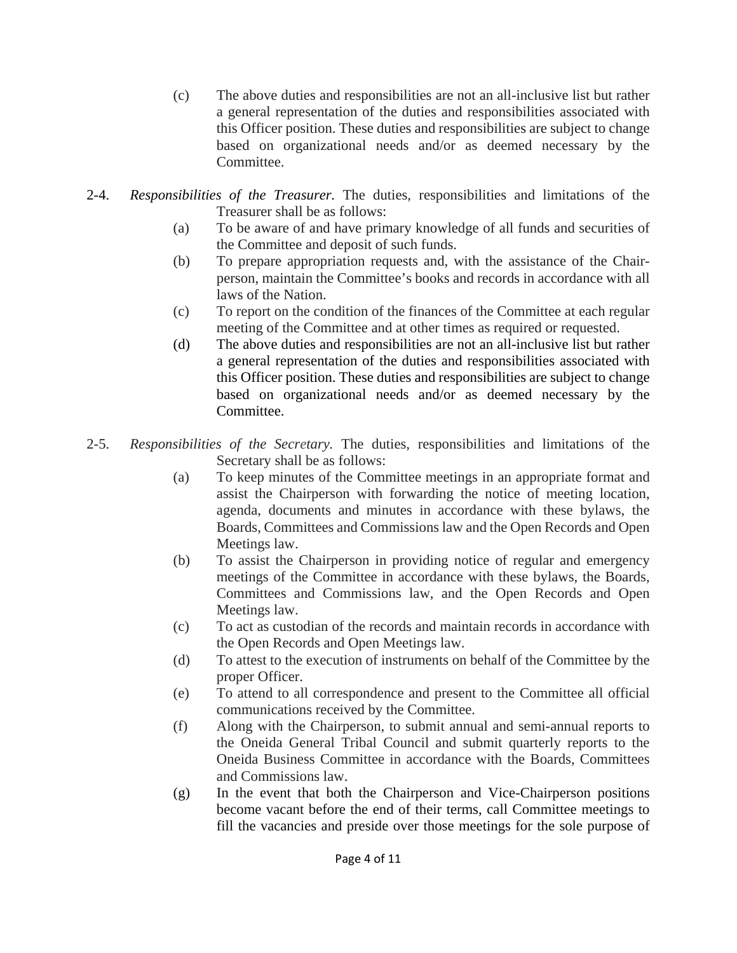- (c) The above duties and responsibilities are not an all-inclusive list but rather a general representation of the duties and responsibilities associated with this Officer position. These duties and responsibilities are subject to change based on organizational needs and/or as deemed necessary by the Committee.
- 2-4. *Responsibilities of the Treasurer.* The duties, responsibilities and limitations of the Treasurer shall be as follows:
	- (a) To be aware of and have primary knowledge of all funds and securities of the Committee and deposit of such funds.
	- (b) To prepare appropriation requests and, with the assistance of the Chairperson, maintain the Committee's books and records in accordance with all laws of the Nation.
	- (c) To report on the condition of the finances of the Committee at each regular meeting of the Committee and at other times as required or requested.
	- (d) The above duties and responsibilities are not an all-inclusive list but rather a general representation of the duties and responsibilities associated with this Officer position. These duties and responsibilities are subject to change based on organizational needs and/or as deemed necessary by the Committee.
- 2-5. *Responsibilities of the Secretary.* The duties, responsibilities and limitations of the Secretary shall be as follows:
	- (a) To keep minutes of the Committee meetings in an appropriate format and assist the Chairperson with forwarding the notice of meeting location, agenda, documents and minutes in accordance with these bylaws, the Boards, Committees and Commissions law and the Open Records and Open Meetings law.
	- (b) To assist the Chairperson in providing notice of regular and emergency meetings of the Committee in accordance with these bylaws, the Boards, Committees and Commissions law, and the Open Records and Open Meetings law.
	- (c) To act as custodian of the records and maintain records in accordance with the Open Records and Open Meetings law.
	- (d) To attest to the execution of instruments on behalf of the Committee by the proper Officer.
	- (e) To attend to all correspondence and present to the Committee all official communications received by the Committee.
	- (f) Along with the Chairperson, to submit annual and semi-annual reports to the Oneida General Tribal Council and submit quarterly reports to the Oneida Business Committee in accordance with the Boards, Committees and Commissions law.
	- (g) In the event that both the Chairperson and Vice-Chairperson positions become vacant before the end of their terms, call Committee meetings to fill the vacancies and preside over those meetings for the sole purpose of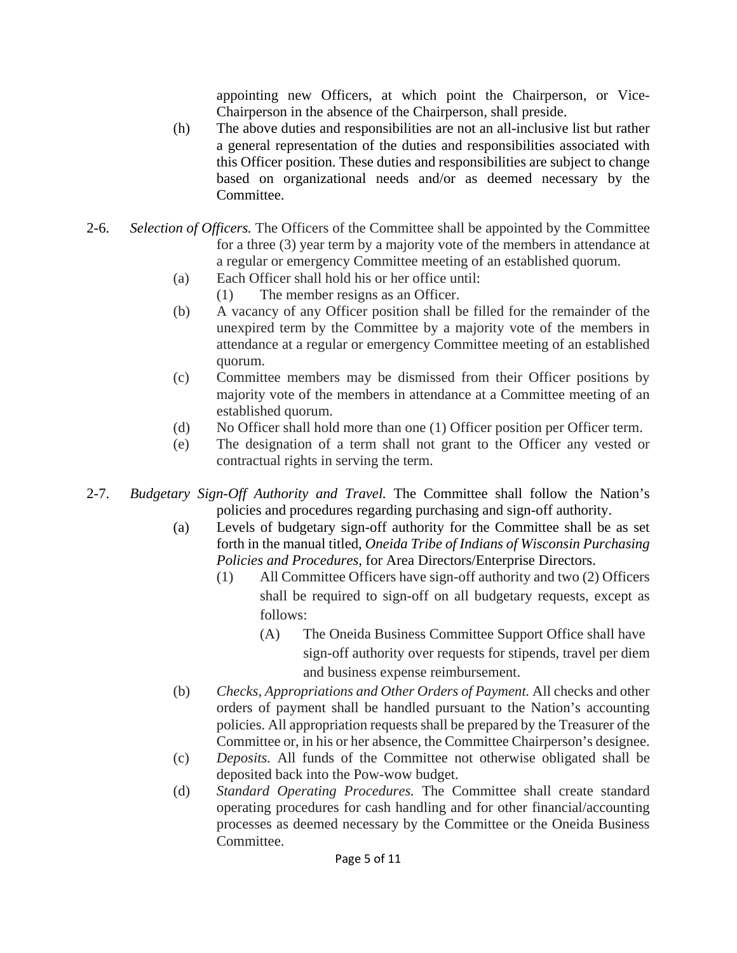appointing new Officers, at which point the Chairperson, or Vice- Chairperson in the absence of the Chairperson, shall preside.

- (h) The above duties and responsibilities are not an all-inclusive list but rather a general representation of the duties and responsibilities associated with this Officer position. These duties and responsibilities are subject to change based on organizational needs and/or as deemed necessary by the Committee.
- 2-6. *Selection of Officers.* The Officers of the Committee shall be appointed by the Committee for a three (3) year term by a majority vote of the members in attendance at a regular or emergency Committee meeting of an established quorum.
	- (a) Each Officer shall hold his or her office until:
		- (1) The member resigns as an Officer.
	- (b) A vacancy of any Officer position shall be filled for the remainder of the unexpired term by the Committee by a majority vote of the members in attendance at a regular or emergency Committee meeting of an established quorum.
	- (c) Committee members may be dismissed from their Officer positions by majority vote of the members in attendance at a Committee meeting of an established quorum.
	- (d) No Officer shall hold more than one (1) Officer position per Officer term.
	- (e) The designation of a term shall not grant to the Officer any vested or contractual rights in serving the term.
- 2-7. *Budgetary Sign-Off Authority and Travel.* The Committee shall follow the Nation's policies and procedures regarding purchasing and sign-off authority.
	- (a) Levels of budgetary sign-off authority for the Committee shall be as set forth in the manual titled, *Oneida Tribe of Indians of Wisconsin Purchasing Policies and Procedures,* for Area Directors/Enterprise Directors.
		- (1) All Committee Officers have sign-off authority and two (2) Officers shall be required to sign-off on all budgetary requests, except as follows:
			- (A) The Oneida Business Committee Support Office shall have sign-off authority over requests for stipends, travel per diem and business expense reimbursement.
	- (b) *Checks, Appropriations and Other Orders of Payment.* All checks and other orders of payment shall be handled pursuant to the Nation's accounting policies. All appropriation requests shall be prepared by the Treasurer of the Committee or, in his or her absence, the Committee Chairperson's designee.
	- (c) *Deposits.* All funds of the Committee not otherwise obligated shall be deposited back into the Pow-wow budget.
	- (d) *Standard Operating Procedures.* The Committee shall create standard operating procedures for cash handling and for other financial/accounting processes as deemed necessary by the Committee or the Oneida Business Committee.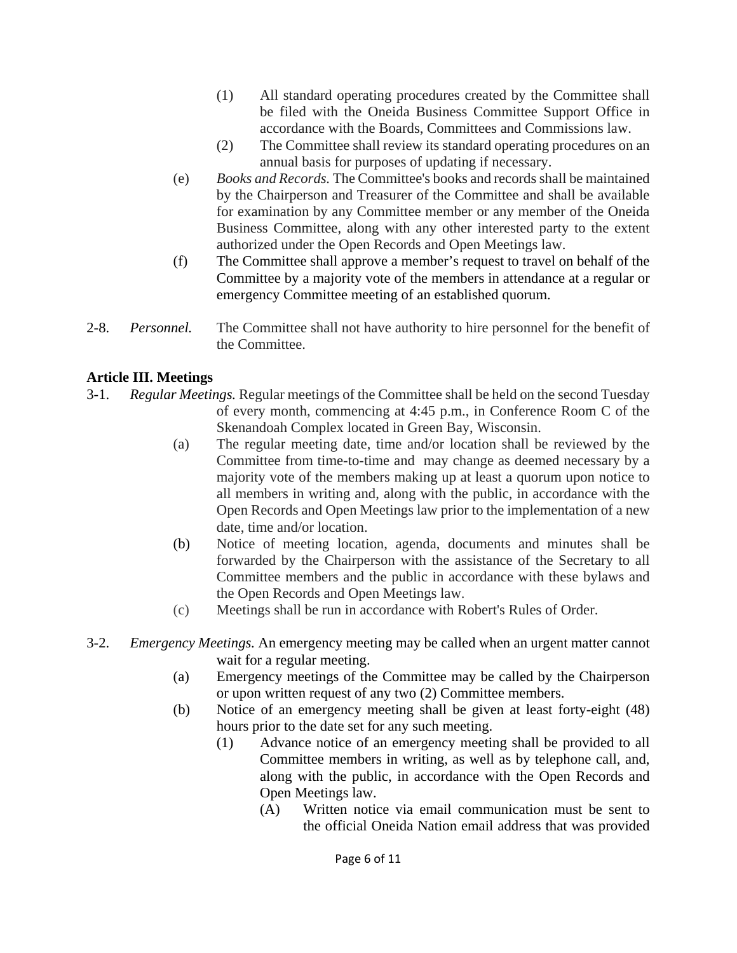- (1) All standard operating procedures created by the Committee shall be filed with the Oneida Business Committee Support Office in accordance with the Boards, Committees and Commissions law.
- (2) The Committee shall review its standard operating procedures on an annual basis for purposes of updating if necessary.
- (e) *Books and Records.* The Committee's books and records shall be maintained by the Chairperson and Treasurer of the Committee and shall be available for examination by any Committee member or any member of the Oneida Business Committee, along with any other interested party to the extent authorized under the Open Records and Open Meetings law.
- (f) The Committee shall approve a member's request to travel on behalf of the Committee by a majority vote of the members in attendance at a regular or emergency Committee meeting of an established quorum.
- 2-8. *Personnel.* The Committee shall not have authority to hire personnel for the benefit of the Committee.

## **Article III. Meetings**

- 3-1. *Regular Meetings.* Regular meetings of the Committee shall be held on the second Tuesday of every month, commencing at 4:45 p.m., in Conference Room C of the Skenandoah Complex located in Green Bay, Wisconsin.
	- (a) The regular meeting date, time and/or location shall be reviewed by the Committee from time-to-time and may change as deemed necessary by a majority vote of the members making up at least a quorum upon notice to all members in writing and, along with the public, in accordance with the Open Records and Open Meetings law prior to the implementation of a new date, time and/or location.
	- (b) Notice of meeting location, agenda, documents and minutes shall be forwarded by the Chairperson with the assistance of the Secretary to all Committee members and the public in accordance with these bylaws and the Open Records and Open Meetings law.
	- (c) Meetings shall be run in accordance with Robert's Rules of Order.
- 3-2. *Emergency Meetings.* An emergency meeting may be called when an urgent matter cannot wait for a regular meeting.
	- (a) Emergency meetings of the Committee may be called by the Chairperson or upon written request of any two (2) Committee members.
	- (b) Notice of an emergency meeting shall be given at least forty-eight (48) hours prior to the date set for any such meeting.
		- (1) Advance notice of an emergency meeting shall be provided to all Committee members in writing, as well as by telephone call, and, along with the public, in accordance with the Open Records and Open Meetings law.
			- (A) Written notice via email communication must be sent to the official Oneida Nation email address that was provided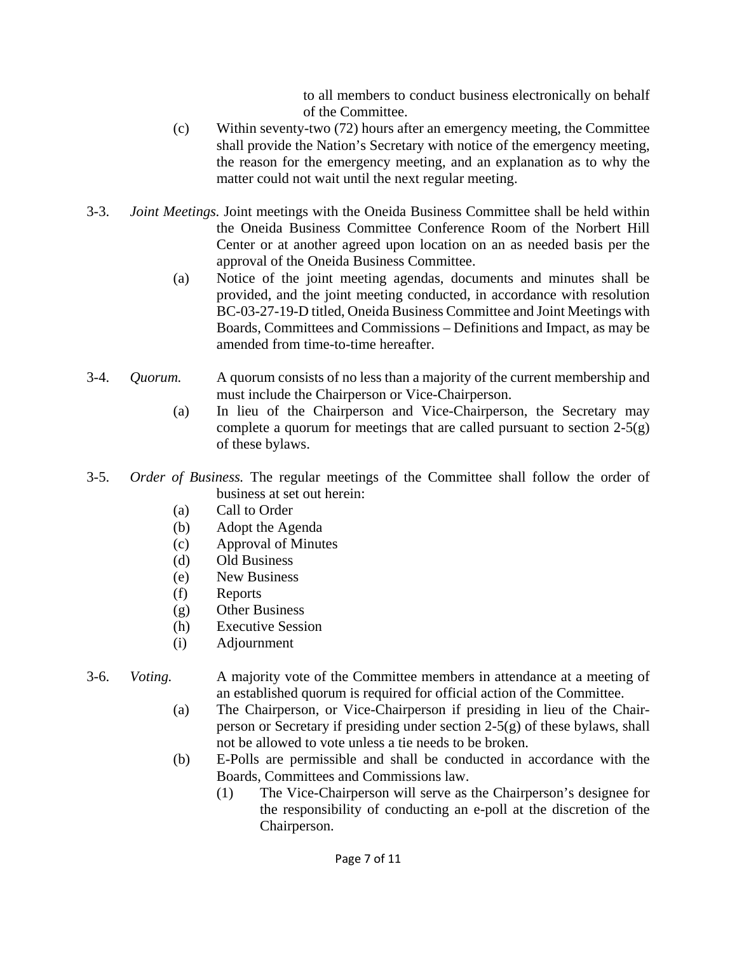to all members to conduct business electronically on behalf of the Committee.

- (c) Within seventy-two (72) hours after an emergency meeting, the Committee shall provide the Nation's Secretary with notice of the emergency meeting, the reason for the emergency meeting, and an explanation as to why the matter could not wait until the next regular meeting.
- 3-3. *Joint Meetings.* Joint meetings with the Oneida Business Committee shall be held within the Oneida Business Committee Conference Room of the Norbert Hill Center or at another agreed upon location on an as needed basis per the approval of the Oneida Business Committee.
	- (a) Notice of the joint meeting agendas, documents and minutes shall be provided, and the joint meeting conducted, in accordance with resolution BC-03-27-19-D titled, Oneida Business Committee and Joint Meetings with Boards, Committees and Commissions – Definitions and Impact, as may be amended from time-to-time hereafter.
- 3-4. *Quorum.* A quorum consists of no less than a majority of the current membership and must include the Chairperson or Vice-Chairperson.
	- (a) In lieu of the Chairperson and Vice-Chairperson, the Secretary may complete a quorum for meetings that are called pursuant to section 2-5(g) of these bylaws.
- 3-5. *Order of Business.* The regular meetings of the Committee shall follow the order of business at set out herein:
	- (a) Call to Order
	- (b) Adopt the Agenda
	- (c) Approval of Minutes
	- (d) Old Business
	- (e) New Business
	- (f) Reports
	- (g) Other Business
	- (h) Executive Session
	- (i) Adjournment

#### 3-6. *Voting.* A majority vote of the Committee members in attendance at a meeting of an established quorum is required for official action of the Committee.

- (a) The Chairperson, or Vice-Chairperson if presiding in lieu of the Chair person or Secretary if presiding under section  $2-5(g)$  of these bylaws, shall not be allowed to vote unless a tie needs to be broken.
- (b) E-Polls are permissible and shall be conducted in accordance with the Boards, Committees and Commissions law.
	- (1) The Vice-Chairperson will serve as the Chairperson's designee for the responsibility of conducting an e-poll at the discretion of the Chairperson.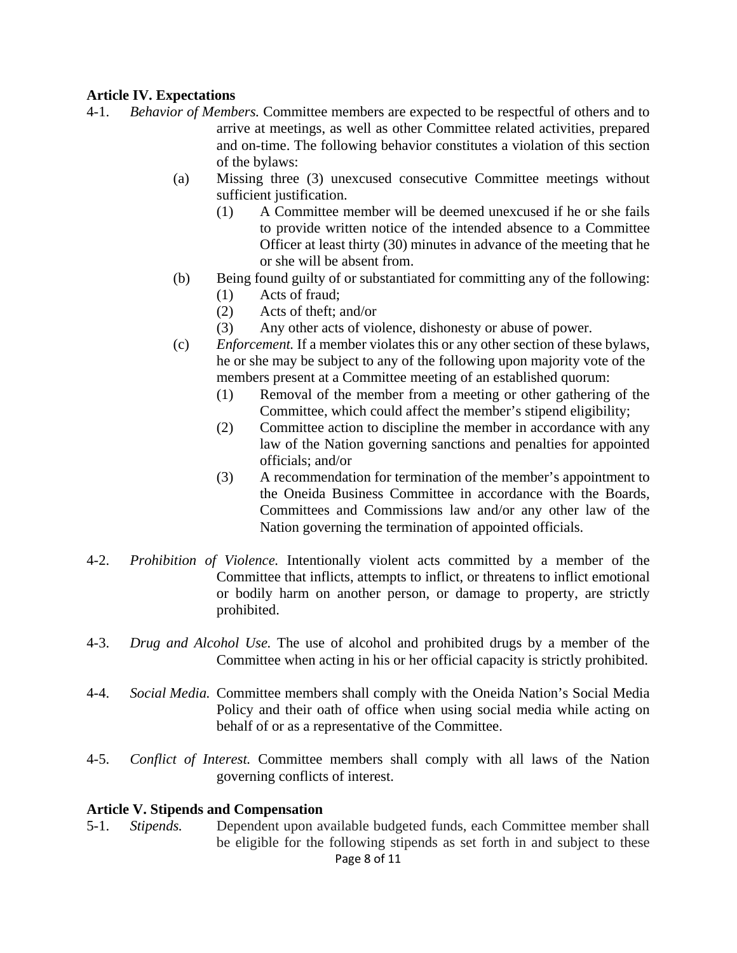#### **Article IV. Expectations**

- 4-1. *Behavior of Members.* Committee members are expected to be respectful of others and to arrive at meetings, as well as other Committee related activities, prepared and on-time. The following behavior constitutes a violation of this section of the bylaws:
	- (a) Missing three (3) unexcused consecutive Committee meetings without sufficient justification.
		- (1) A Committee member will be deemed unexcused if he or she fails to provide written notice of the intended absence to a Committee Officer at least thirty (30) minutes in advance of the meeting that he or she will be absent from.
	- (b) Being found guilty of or substantiated for committing any of the following:
		- (1) Acts of fraud;
		- (2) Acts of theft; and/or
		- (3) Any other acts of violence, dishonesty or abuse of power.
	- (c) *Enforcement.* If a member violates this or any other section of these bylaws, he or she may be subject to any of the following upon majority vote of the members present at a Committee meeting of an established quorum:
		- (1) Removal of the member from a meeting or other gathering of the Committee, which could affect the member's stipend eligibility;
		- (2) Committee action to discipline the member in accordance with any law of the Nation governing sanctions and penalties for appointed officials; and/or
		- (3) A recommendation for termination of the member's appointment to the Oneida Business Committee in accordance with the Boards, Committees and Commissions law and/or any other law of the Nation governing the termination of appointed officials.
- 4-2. *Prohibition of Violence.* Intentionally violent acts committed by a member of the Committee that inflicts, attempts to inflict, or threatens to inflict emotional or bodily harm on another person, or damage to property, are strictly prohibited.
- 4-3. *Drug and Alcohol Use.* The use of alcohol and prohibited drugs by a member of the Committee when acting in his or her official capacity is strictly prohibited.
- 4-4. *Social Media.* Committee members shall comply with the Oneida Nation's Social Media Policy and their oath of office when using social media while acting on behalf of or as a representative of the Committee.
- 4-5. *Conflict of Interest.* Committee members shall comply with all laws of the Nation governing conflicts of interest.

#### **Article V. Stipends and Compensation**

Page 8 of 11 5-1. *Stipends.* Dependent upon available budgeted funds, each Committee member shall be eligible for the following stipends as set forth in and subject to these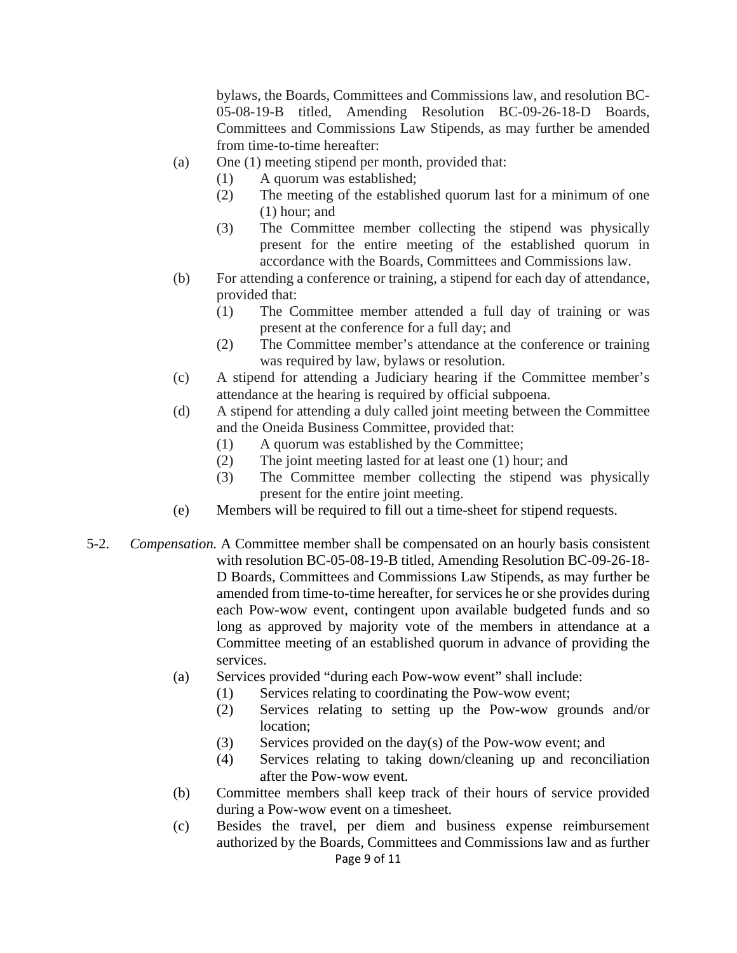bylaws, the Boards, Committees and Commissions law, and resolution BC- 05-08-19-B titled, Amending Resolution BC-09-26-18-D Boards, Committees and Commissions Law Stipends, as may further be amended from time-to-time hereafter:

- (a) One (1) meeting stipend per month, provided that:
	- (1) A quorum was established;
	- (2) The meeting of the established quorum last for a minimum of one (1) hour; and
	- (3) The Committee member collecting the stipend was physically present for the entire meeting of the established quorum in accordance with the Boards, Committees and Commissions law.
- (b) For attending a conference or training, a stipend for each day of attendance, provided that:
	- (1) The Committee member attended a full day of training or was present at the conference for a full day; and
	- (2) The Committee member's attendance at the conference or training was required by law, bylaws or resolution.
- (c) A stipend for attending a Judiciary hearing if the Committee member's attendance at the hearing is required by official subpoena.
- (d) A stipend for attending a duly called joint meeting between the Committee and the Oneida Business Committee, provided that:
	- (1) A quorum was established by the Committee;
	- (2) The joint meeting lasted for at least one (1) hour; and
	- (3) The Committee member collecting the stipend was physically present for the entire joint meeting.
- (e) Members will be required to fill out a time-sheet for stipend requests.
- 5-2. *Compensation.* A Committee member shall be compensated on an hourly basis consistent with resolution BC-05-08-19-B titled, Amending Resolution BC-09-26-18- D Boards, Committees and Commissions Law Stipends, as may further be amended from time-to-time hereafter, for services he or she provides during each Pow-wow event, contingent upon available budgeted funds and so long as approved by majority vote of the members in attendance at a Committee meeting of an established quorum in advance of providing the services.
	- (a) Services provided "during each Pow-wow event" shall include:
		- (1) Services relating to coordinating the Pow-wow event;
		- (2) Services relating to setting up the Pow-wow grounds and/or location;
		- (3) Services provided on the day(s) of the Pow-wow event; and
		- (4) Services relating to taking down/cleaning up and reconciliation after the Pow-wow event.
	- (b) Committee members shall keep track of their hours of service provided during a Pow-wow event on a timesheet.
	- Page 9 of 11 (c) Besides the travel, per diem and business expense reimbursement authorized by the Boards, Committees and Commissions law and as further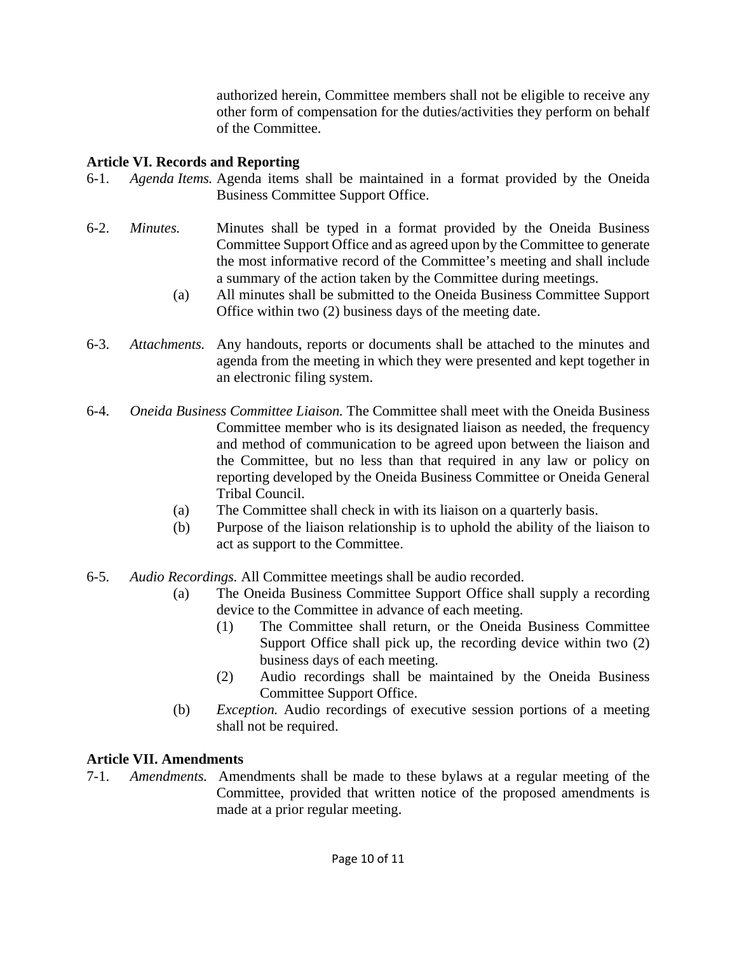authorized herein, Committee members shall not be eligible to receive any other form of compensation for the duties/activities they perform on behalf of the Committee.

### **Article VI. Records and Reporting**

- 6-1. *Agenda Items.* Agenda items shall be maintained in a format provided by the Oneida Business Committee Support Office.
- 6-2. *Minutes.* Minutes shall be typed in a format provided by the Oneida Business Committee Support Office and as agreed upon by the Committee to generate the most informative record of the Committee's meeting and shall include a summary of the action taken by the Committee during meetings.
	- (a) All minutes shall be submitted to the Oneida Business Committee Support Office within two (2) business days of the meeting date.
- 6-3. *Attachments.* Any handouts, reports or documents shall be attached to the minutes and agenda from the meeting in which they were presented and kept together in an electronic filing system.
- 6-4. *Oneida Business Committee Liaison.* The Committee shall meet with the Oneida Business Committee member who is its designated liaison as needed, the frequency and method of communication to be agreed upon between the liaison and the Committee, but no less than that required in any law or policy on reporting developed by the Oneida Business Committee or Oneida General Tribal Council.
	- (a) The Committee shall check in with its liaison on a quarterly basis.
	- (b) Purpose of the liaison relationship is to uphold the ability of the liaison to act as support to the Committee.
- 6-5. *Audio Recordings.* All Committee meetings shall be audio recorded.
	- (a) The Oneida Business Committee Support Office shall supply a recording device to the Committee in advance of each meeting.
		- (1) The Committee shall return, or the Oneida Business Committee Support Office shall pick up, the recording device within two (2) business days of each meeting.
		- (2) Audio recordings shall be maintained by the Oneida Business Committee Support Office.
	- (b) *Exception.* Audio recordings of executive session portions of a meeting shall not be required.

# **Article VII. Amendments**

7-1. *Amendments.* Amendments shall be made to these bylaws at a regular meeting of the Committee, provided that written notice of the proposed amendments is made at a prior regular meeting.